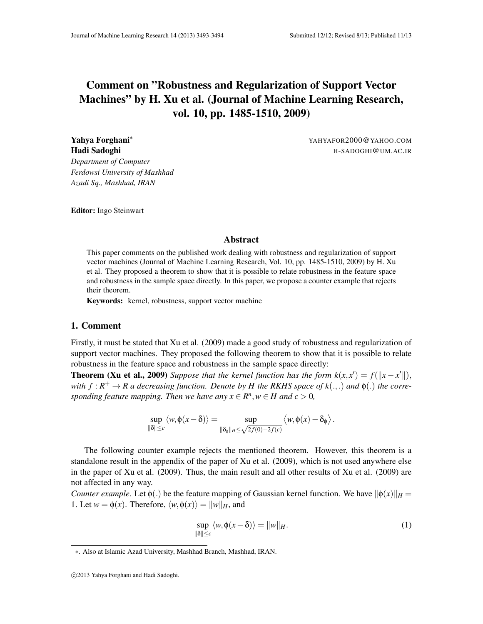## Comment on "Robustness and Regularization of Support Vector Machines" by H. Xu et al. (Journal of Machine Learning Research, vol. 10, pp. 1485-1510, 2009)

**Yahya Forghani<sup>∗</sup>** YAHYAFOR2000@YAHOO.COM Hadi Sadoghi H-SADOGHI@UM.AC.IR

*Department of Computer Ferdowsi University of Mashhad Azadi Sq., Mashhad, IRAN*

Editor: Ingo Steinwart

## Abstract

This paper comments on the published work dealing with robustness and regularization of support vector machines (Journal of Machine Learning Research, Vol. 10, pp. 1485-1510, 2009) by H. Xu et al. They proposed a theorem to show that it is possible to relate robustness in the feature space and robustness in the sample space directly. In this paper, we propose a counter example that rejects their theorem.

Keywords: kernel, robustness, support vector machine

## 1. Comment

Firstly, it must be stated that Xu et al. (2009) made a good study of robustness and regularization of support vector machines. They proposed the following theorem to show that it is possible to relate robustness in the feature space and robustness in the sample space directly:

**Theorem (Xu et al., 2009)** Suppose that the kernel function has the form  $k(x, x') = f(||x - x'||)$ , *with*  $f: R^+ \to R$  a decreasing function. Denote by H the RKHS space of  $k(.,.)$  and  $\phi(.)$  the corre*sponding feature mapping. Then we have any*  $x \in \mathbb{R}^n, w \in H$  and  $c > 0$ ,

$$
\sup_{\|\delta\| \leq c} \langle w, \phi(x - \delta) \rangle = \sup_{\|\delta_{\phi}\|_{H} \leq \sqrt{2f(0) - 2f(c)}} \langle w, \phi(x) - \delta_{\phi} \rangle.
$$

The following counter example rejects the mentioned theorem. However, this theorem is a standalone result in the appendix of the paper of Xu et al. (2009), which is not used anywhere else in the paper of Xu et al. (2009). Thus, the main result and all other results of Xu et al. (2009) are not affected in any way.

*Counter example*. Let  $\phi(.)$  be the feature mapping of Gaussian kernel function. We have  $\|\phi(x)\|_H =$ 1. Let  $w = \phi(x)$ . Therefore,  $\langle w, \phi(x) \rangle = ||w||_H$ , and

$$
\sup_{\|\delta\| \le c} \langle w, \phi(x - \delta) \rangle = \|w\|_{H}.
$$
 (1)

<sup>∗</sup>. Also at Islamic Azad University, Mashhad Branch, Mashhad, IRAN.

c 2013 Yahya Forghani and Hadi Sadoghi.